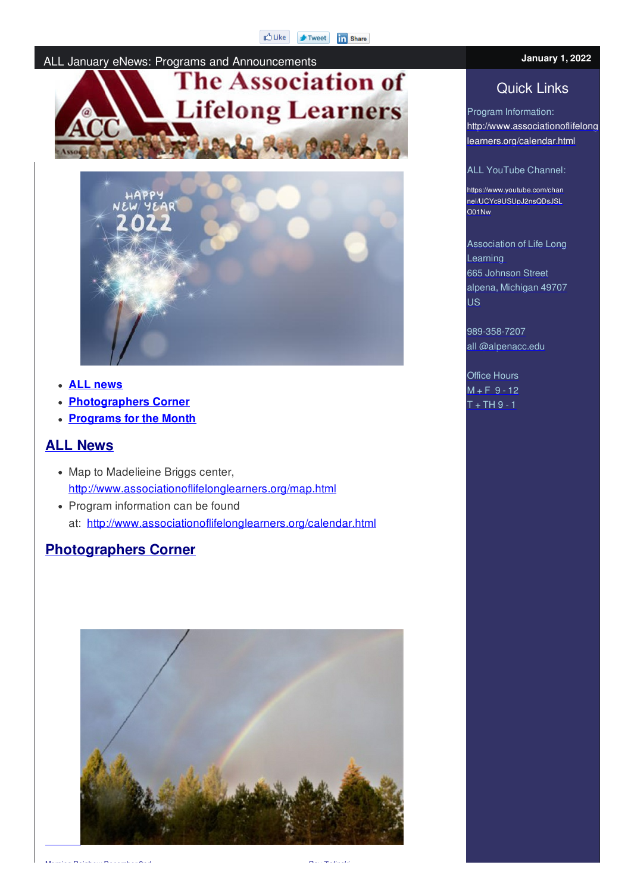



- **ALL news**
- **Photographers Corner**
- **Programs for the Month**

#### **ALL News**

- Map to Madelieine Briggs center, http://www.associationoflifelonglearners.org/map.html
- Program information can be found at: http://www.associationoflifelonglearners.org/calendar.html

## **Photographers Corner**



Program Information: http://www.associationoflifelong learners.org/calendar.html

**January 1, 2022**

ALL YouTube Channel:

https://www.youtube.com/chan nel/UCYc9USUpJ2nsQDsJSL O01Nw

Association of Life Long Learning 665 Johnson Street alpena, Michigan 49707 US

989-358-7207 all @alpenacc.edu

Office Hours  $M + F = 9 - 12$  $T + TH9 - 1$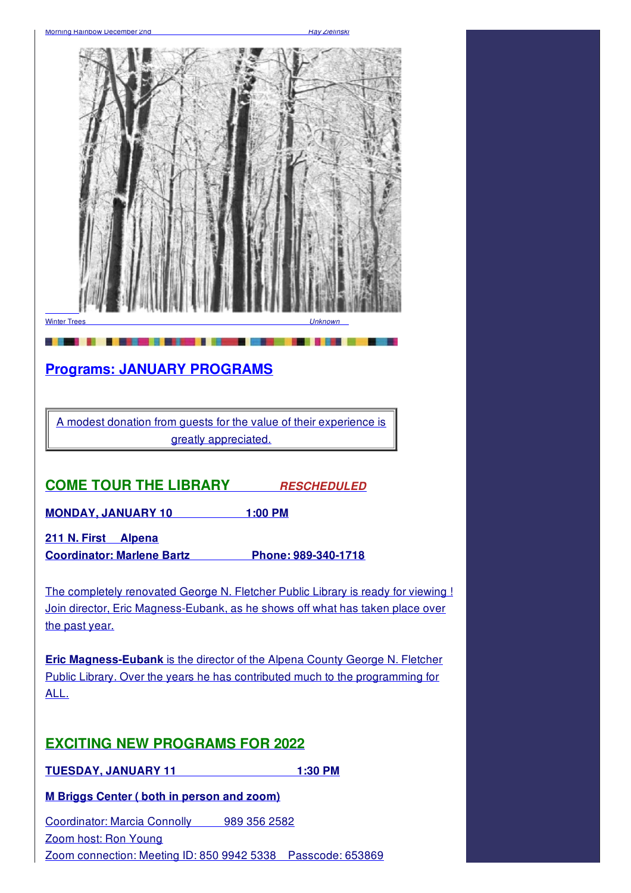

**Coordinator: Marlene Bartz Phone: 989-340-1718**

The completely renovated George N. Fletcher Public Library is ready for viewing ! Join director, Eric Magness-Eubank, as he shows off what has taken place over the past year.

**Eric Magness-Eubank** is the director of the Alpena County George N. Fletcher Public Library. Over the years he has contributed much to the programming for ALL.

## **EXCITING NEW PROGRAMS FOR 2022**

**TUESDAY, JANUARY 11 1:30 PM**

**M Briggs Center ( both in person and zoom)**

Coordinator: Marcia Connolly 989 356 2582 Zoom host: Ron Young Zoom connection: Meeting ID: 850 9942 5338 Passcode: 653869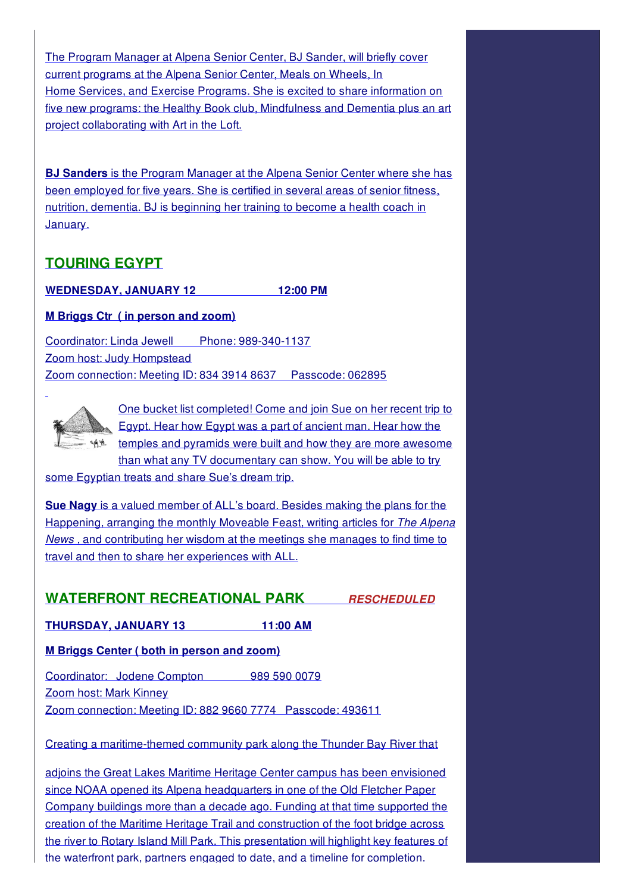The Program Manager at Alpena Senior Center, BJ Sander, will briefly cover current programs at the Alpena Senior Center, Meals on Wheels, In Home Services, and Exercise Programs. She is excited to share information on five new programs: the Healthy Book club, Mindfulness and Dementia plus an art project collaborating with Art in the Loft.

**BJ Sanders** is the Program Manager at the Alpena Senior Center where she has been employed for five years. She is certified in several areas of senior fitness, nutrition, dementia. BJ is beginning her training to become a health coach in January.

## **TOURING EGYPT**

**WEDNESDAY, JANUARY 12 12:00 PM**

#### **M Briggs Ctr ( in person and zoom)**

Coordinator: Linda Jewell Phone: 989-340-1137 Zoom host: Judy Hompstead Zoom connection: Meeting ID: 834 3914 8637 Passcode: 062895



One bucket list completed! Come and join Sue on her recent trip to Egypt. Hear how Egypt was a part of ancient man. Hear how the temples and pyramids were built and how they are more awesome than what any TV documentary can show. You will be able to try

some Egyptian treats and share Sue's dream trip.

**Sue Nagy** is a valued member of ALL's board. Besides making the plans for the Happening, arranging the monthly Moveable Feast, writing articles for *The Alpena News ,* and contributing her wisdom at the meetings she manages to find time to travel and then to share her experiences with ALL.

#### **WATERFRONT RECREATIONAL PARK** *RESCHEDULED*

**THURSDAY, JANUARY 13 11:00 AM**

#### **M Briggs Center ( both in person and zoom)**

Coordinator: Jodene Compton 989 590 0079 Zoom host: Mark Kinney Zoom connection: Meeting ID: 882 9660 7774 Passcode: 493611

Creating a maritime-themed community park along the Thunder Bay River that

adjoins the Great Lakes Maritime Heritage Center campus has been envisioned since NOAA opened its Alpena headquarters in one of the Old Fletcher Paper Company buildings more than a decade ago. Funding at that time supported the creation of the Maritime Heritage Trail and construction of the foot bridge across the river to Rotary Island Mill Park. This presentation will highlight key features of the waterfront park, partners engaged to date, and a timeline for completion.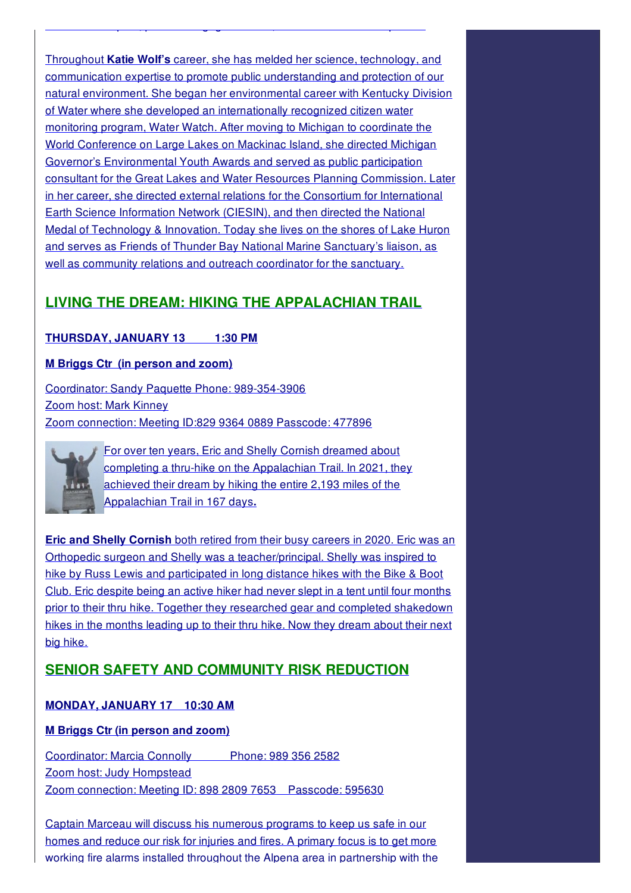Throughout **Katie Wolf's** career, she has melded her science, technology, and communication expertise to promote public understanding and protection of our natural environment. She began her environmental career with Kentucky Division of Water where she developed an internationally recognized citizen water monitoring program, Water Watch. After moving to Michigan to coordinate the World Conference on Large Lakes on Mackinac Island, she directed Michigan Governor's Environmental Youth Awards and served as public participation consultant for the Great Lakes and Water Resources Planning Commission. Later in her career, she directed external relations for the Consortium for International Earth Science Information Network (CIESIN), and then directed the National Medal of Technology & Innovation. Today she lives on the shores of Lake Huron and serves as Friends of Thunder Bay National Marine Sanctuary's liaison, as well as community relations and outreach coordinator for the sanctuary.

the waterfront park, partners engaged to date, and a timeline for completion.

## **LIVING THE DREAM: HIKING THE APPALACHIAN TRAIL**

#### **THURSDAY, JANUARY 13 1:30 PM**

#### **M Briggs Ctr (in person and zoom)**

Coordinator: Sandy Paquette Phone: 989-354-3906 Zoom host: Mark Kinney Zoom connection: Meeting ID:829 9364 0889 Passcode: 477896



For over ten years, Eric and Shelly Cornish dreamed about completing a thru-hike on the Appalachian Trail. In 2021, they achieved their dream by hiking the entire 2,193 miles of the Appalachian Trail in 167 days**.**

**Eric and Shelly Cornish** both retired from their busy careers in 2020. Eric was an Orthopedic surgeon and Shelly was a teacher/principal. Shelly was inspired to hike by Russ Lewis and participated in long distance hikes with the Bike & Boot Club. Eric despite being an active hiker had never slept in a tent until four months prior to their thru hike. Together they researched gear and completed shakedown hikes in the months leading up to their thru hike. Now they dream about their next big hike.

## **SENIOR SAFETY AND COMMUNITY RISK REDUCTION**

#### **MONDAY, JANUARY 17 10:30 AM**

#### **M Briggs Ctr (in person and zoom)**

Coordinator: Marcia Connolly Phone: 989 356 2582 Zoom host: Judy Hompstead Zoom connection: Meeting ID: 898 2809 7653 Passcode: 595630

Captain Marceau will discuss his numerous programs to keep us safe in our homes and reduce our risk for injuries and fires. A primary focus is to get more working fire alarms installed throughout the Alpena area in partnership with the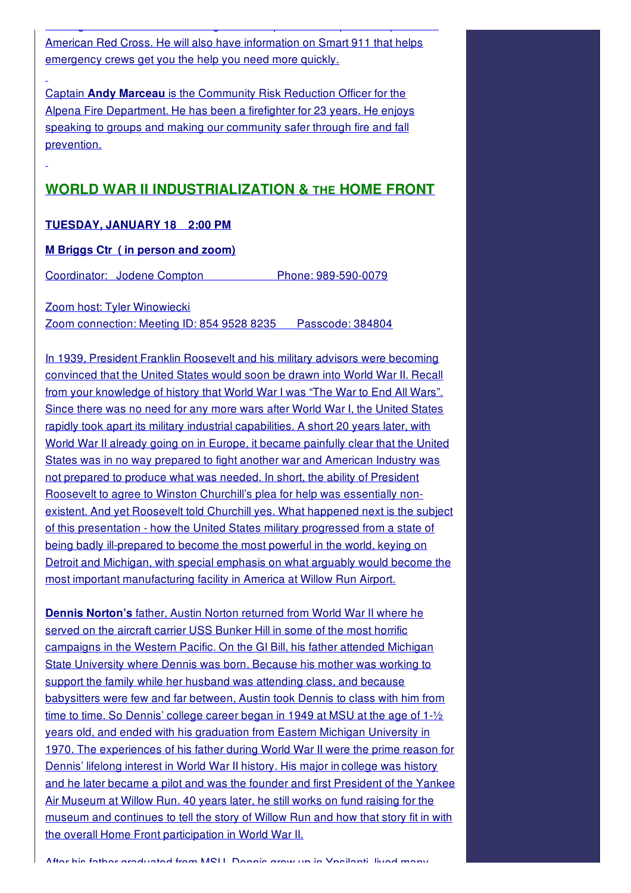American Red Cross. He will also have information on Smart 911 that helps emergency crews get you the help you need more quickly.

working fire alarms installed throughout throughout throughout throughout the Alpena area in partnership with the Alpena area in partnership with the Alpena area in partnership with the Alpena area in partnership with the

Captain **Andy Marceau** is the Community Risk Reduction Officer for the Alpena Fire Department. He has been a firefighter for 23 years. He enjoys speaking to groups and making our community safer through fire and fall prevention.

#### **WORLD WAR II INDUSTRIALIZATION & THE HOME FRONT**

#### **TUESDAY, JANUARY 18 2:00 PM**

#### **M Briggs Ctr ( in person and zoom)**

Coordinator: Jodene Compton Phone: 989-590-0079

Zoom host: Tyler Winowiecki

Zoom connection: Meeting ID: 854 9528 8235 Passcode: 384804

In 1939, President Franklin Roosevelt and his military advisors were becoming convinced that the United States would soon be drawn into World War II. Recall from your knowledge of history that World War I was "The War to End All Wars". Since there was no need for any more wars after World War I, the United States rapidly took apart its military industrial capabilities. A short 20 years later, with World War II already going on in Europe, it became painfully clear that the United States was in no way prepared to fight another war and American Industry was not prepared to produce what was needed. In short, the ability of President Roosevelt to agree to Winston Churchill's plea for help was essentially nonexistent. And yet Roosevelt told Churchill yes. What happened next is the subject of this presentation - how the United States military progressed from a state of being badly ill-prepared to become the most powerful in the world, keying on Detroit and Michigan, with special emphasis on what arguably would become the most important manufacturing facility in America at Willow Run Airport.

**Dennis Norton's** father, Austin Norton returned from World War II where he served on the aircraft carrier USS Bunker Hill in some of the most horrific campaigns in the Western Pacific. On the GI Bill, his father attended Michigan State University where Dennis was born. Because his mother was working to support the family while her husband was attending class, and because babysitters were few and far between, Austin took Dennis to class with him from time to time. So Dennis' college career began in 1949 at MSU at the age of 1-½ years old, and ended with his graduation from Eastern Michigan University in 1970. The experiences of his father during World War II were the prime reason for Dennis' lifelong interest in World War II history. His major in college was history and he later became a pilot and was the founder and first President of the Yankee Air Museum at Willow Run. 40 years later, he still works on fund raising for the museum and continues to tell the story of Willow Run and how that story fit in with the overall Home Front participation in World War II.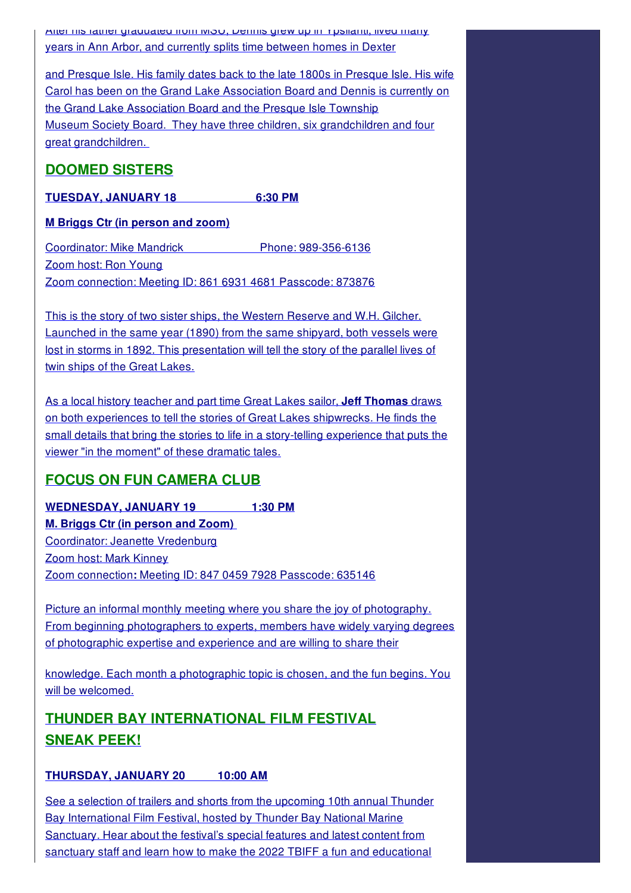After his father graduated from MSU, Dennis grew up in Ypsilanti, lived many years in Ann Arbor, and currently splits time between homes in Dexter

and Presque Isle. His family dates back to the late 1800s in Presque Isle. His wife Carol has been on the Grand Lake Association Board and Dennis is currently on the Grand Lake Association Board and the Presque Isle Township Museum Society Board. They have three children, six grandchildren and four great grandchildren.

## **DOOMED SISTERS**

**TUESDAY, JANUARY 18 6:30 PM**

#### **M Briggs Ctr (in person and zoom)**

Coordinator: Mike Mandrick Phone: 989-356-6136 Zoom host: Ron Young Zoom connection: Meeting ID: 861 6931 4681 Passcode: 873876

This is the story of two sister ships, the Western Reserve and W.H. Gilcher. Launched in the same year (1890) from the same shipyard, both vessels were lost in storms in 1892. This presentation will tell the story of the parallel lives of twin ships of the Great Lakes.

As a local history teacher and part time Great Lakes sailor, **Jeff Thomas** draws on both experiences to tell the stories of Great Lakes shipwrecks. He finds the small details that bring the stories to life in a story-telling experience that puts the viewer "in the moment" of these dramatic tales.

## **FOCUS ON FUN CAMERA CLUB**

**WEDNESDAY, JANUARY 19 1:30 PM M. Briggs Ctr (in person and Zoom)** Coordinator: Jeanette Vredenburg Zoom host: Mark Kinney Zoom connection**:** Meeting ID: 847 0459 7928 Passcode: 635146

Picture an informal monthly meeting where you share the joy of photography. From beginning photographers to experts, members have widely varying degrees of photographic expertise and experience and are willing to share their

knowledge. Each month a photographic topic is chosen, and the fun begins. You will be welcomed.

## **THUNDER BAY INTERNATIONAL FILM FESTIVAL SNEAK PEEK!**

#### **THURSDAY, JANUARY 20 10:00 AM**

See a selection of trailers and shorts from the upcoming 10th annual Thunder Bay International Film Festival, hosted by Thunder Bay National Marine Sanctuary. Hear about the festival's special features and latest content from sanctuary staff and learn how to make the 2022 TBIFF a fun and educational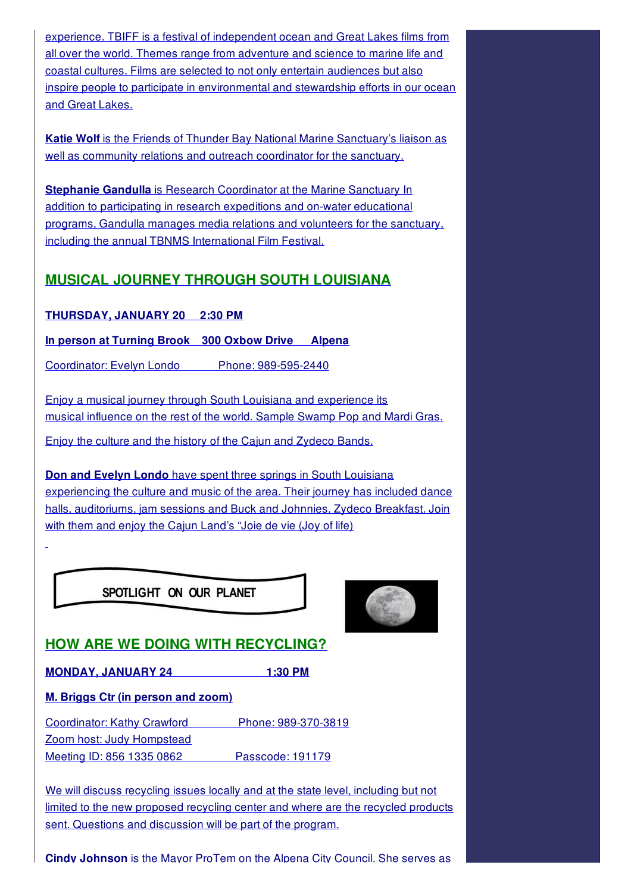experience. TBIFF is a festival of independent ocean and Great Lakes films from all over the world. Themes range from adventure and science to marine life and coastal cultures. Films are selected to not only entertain audiences but also inspire people to participate in environmental and stewardship efforts in our ocean and Great Lakes.

**Katie Wolf** is the Friends of Thunder Bay National Marine Sanctuary's liaison as well as community relations and outreach coordinator for the sanctuary.

**Stephanie Gandulla** is Research Coordinator at the Marine Sanctuary In addition to participating in research expeditions and on-water educational programs, Gandulla manages media relations and volunteers for the sanctuary, including the annual TBNMS International Film Festival.

## **MUSICAL JOURNEY THROUGH SOUTH LOUISIANA**

**THURSDAY, JANUARY 20 2:30 PM**

**In person at Turning Brook 300 Oxbow Drive Alpena**

Coordinator: Evelyn Londo Phone: 989-595-2440

Enjoy a musical journey through South Louisiana and experience its musical influence on the rest of the world. Sample Swamp Pop and Mardi Gras.

Enjoy the culture and the history of the Cajun and Zydeco Bands.

**Don and Evelyn Londo** have spent three springs in South Louisiana experiencing the culture and music of the area. Their journey has included dance halls, auditoriums, jam sessions and Buck and Johnnies, Zydeco Breakfast. Join with them and enjoy the Cajun Land's "Joie de vie (Joy of life)

SPOTLIGHT ON OUR PLANET



## **HOW ARE WE DOING WITH RECYCLING?**

**MONDAY, JANUARY 24 1:30 PM**

**M. Briggs Ctr (in person and zoom)**

Coordinator: Kathy Crawford Phone: 989-370-3819 Zoom host: Judy Hompstead Meeting ID: 856 1335 0862 Passcode: 191179

We will discuss recycling issues locally and at the state level, including but not limited to the new proposed recycling center and where are the recycled products sent. Questions and discussion will be part of the program.

**Cindy Johnson** is the Mayor ProTem on the Alpena City Council. She serves as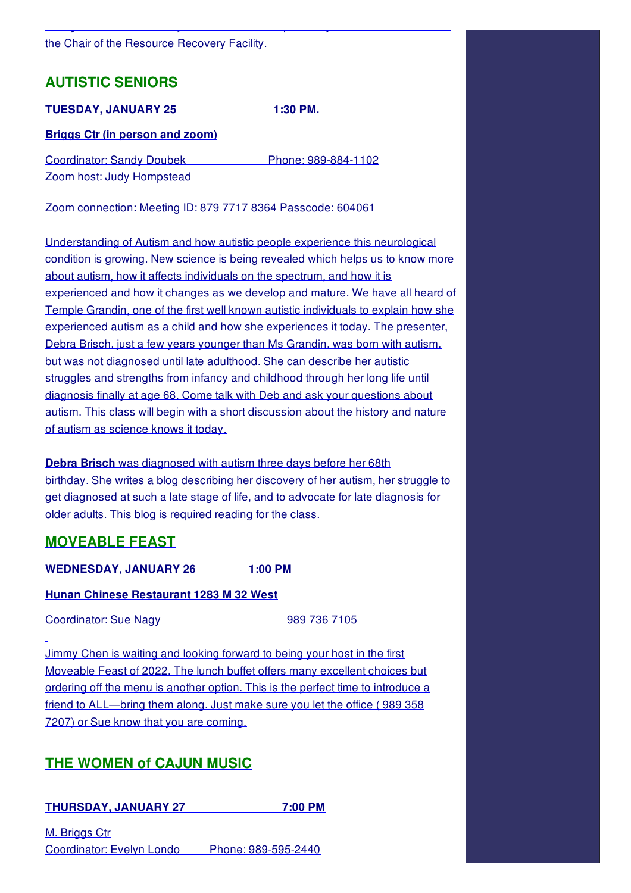#### the Chair of the Resource Recovery Facility.

## **AUTISTIC SENIORS**

**TUESDAY, JANUARY 25 1:30 PM.**

#### **Briggs Ctr (in person and zoom)**

Coordinator: Sandy Doubek Phone: 989-884-1102 Zoom host: Judy Hompstead

Zoom connection**:** Meeting ID: 879 7717 8364 Passcode: 604061

Understanding of Autism and how autistic people experience this neurological condition is growing. New science is being revealed which helps us to know more about autism, how it affects individuals on the spectrum, and how it is experienced and how it changes as we develop and mature. We have all heard of Temple Grandin, one of the first well known autistic individuals to explain how she experienced autism as a child and how she experiences it today. The presenter, Debra Brisch, just a few years younger than Ms Grandin, was born with autism, but was not diagnosed until late adulthood. She can describe her autistic struggles and strengths from infancy and childhood through her long life until diagnosis finally at age 68. Come talk with Deb and ask your questions about autism. This class will begin with a short discussion about the history and nature of autism as science knows it today.

**Cindy Johnson** is the Mayor ProTem on the Alpena City Council. She serves as

**Debra Brisch** was diagnosed with autism three days before her 68th birthday. She writes a blog describing her discovery of her autism, her struggle to get diagnosed at such a late stage of life, and to advocate for late diagnosis for older adults. This blog is required reading for the class.

## **MOVEABLE FEAST**

**WEDNESDAY, JANUARY 26 1:00 PM**

#### **Hunan Chinese Restaurant 1283 M 32 West**

Coordinator: Sue Nagy 989 736 7105

Jimmy Chen is waiting and looking forward to being your host in the first Moveable Feast of 2022. The lunch buffet offers many excellent choices but ordering off the menu is another option. This is the perfect time to introduce a friend to ALL—bring them along. Just make sure you let the office ( 989 358 7207) or Sue know that you are coming.

## **THE WOMEN of CAJUN MUSIC**

**THURSDAY, JANUARY 27 7:00 PM**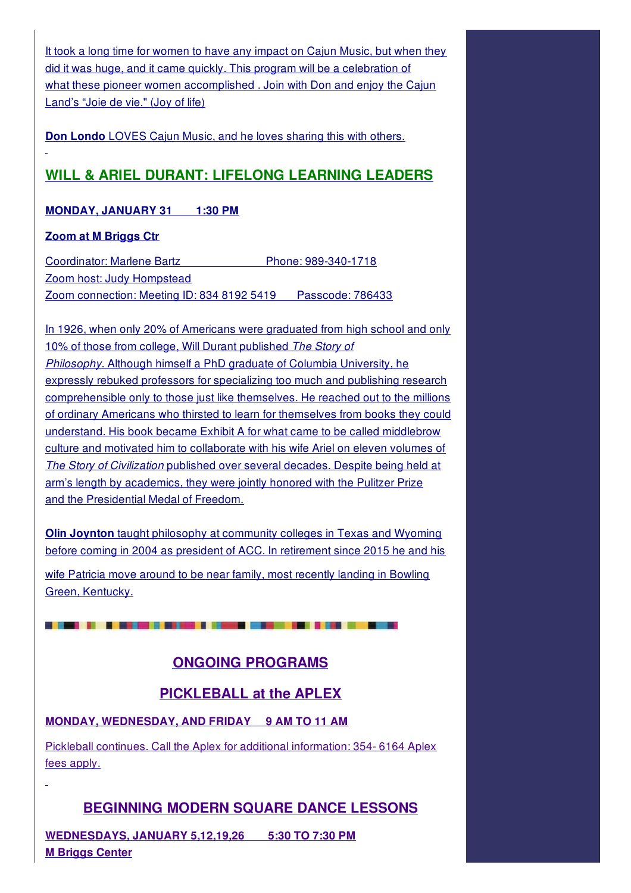It took a long time for women to have any impact on Cajun Music, but when they did it was huge, and it came quickly. This program will be a celebration of what these pioneer women accomplished . Join with Don and enjoy the Cajun Land's "Joie de vie." (Joy of life)

**Don Londo** LOVES Cajun Music, and he loves sharing this with others.

## **WILL & ARIEL DURANT: LIFELONG LEARNING LEADERS**

#### **MONDAY, JANUARY 31 1:30 PM**

#### **Zoom at M Briggs Ctr**

Coordinator: Marlene Bartz Phone: 989-340-1718 Zoom host: Judy Hompstead Zoom connection: Meeting ID: 834 8192 5419 Passcode: 786433

In 1926, when only 20% of Americans were graduated from high school and only 10% of those from college, Will Durant published *The Story of Philosophy*. Although himself a PhD graduate of Columbia University, he expressly rebuked professors for specializing too much and publishing research comprehensible only to those just like themselves. He reached out to the millions of ordinary Americans who thirsted to learn for themselves from books they could understand. His book became Exhibit A for what came to be called middlebrow culture and motivated him to collaborate with his wife Ariel on eleven volumes of *The Story of Civilization* published over several decades. Despite being held at arm's length by academics, they were jointly honored with the Pulitzer Prize and the Presidential Medal of Freedom.

**Olin Joynton** taught philosophy at community colleges in Texas and Wyoming before coming in 2004 as president of ACC. In retirement since 2015 he and his

wife Patricia move around to be near family, most recently landing in Bowling Green, Kentucky.

## **ONGOING PROGRAMS**

## **PICKLEBALL at the APLEX**

#### **MONDAY, WEDNESDAY, AND FRIDAY 9 AM TO 11 AM**

Pickleball continues. Call the Aplex for additional information: 354- 6164 Aplex fees apply.

## **BEGINNING MODERN SQUARE DANCE LESSONS**

**WEDNESDAYS, JANUARY 5,12,19,26 5:30 TO 7:30 PM M Briggs Center**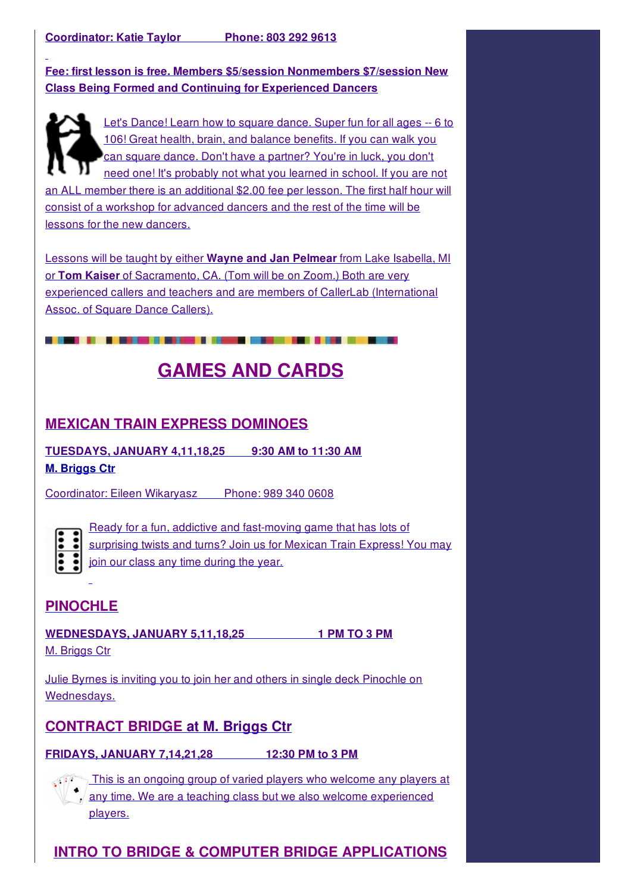**Fee: first lesson is free. Members \$5/session Nonmembers \$7/session New Class Being Formed and Continuing for Experienced Dancers**



Let's Dance! Learn how to square dance. Super fun for all ages -- 6 to 106! Great health, brain, and balance benefits. If you can walk you can square dance. Don't have a partner? You're in luck, you don't need one! It's probably not what you learned in school. If you are not an ALL member there is an additional \$2.00 fee per lesson. The first half hour will

consist of a workshop for advanced dancers and the rest of the time will be lessons for the new dancers.

Lessons will be taught by either **Wayne and Jan Pelmear** from Lake Isabella, MI or **Tom Kaiser** of Sacramento, CA. (Tom will be on Zoom.) Both are very experienced callers and teachers and are members of CallerLab (International Assoc. of Square Dance Callers).

# **GAMES AND CARDS**

## **MEXICAN TRAIN EXPRESS DOMINOES**

**TUESDAYS, JANUARY 4,11,18,25 9:30 AM to 11:30 AM M. Briggs Ctr**

Coordinator: Eileen Wikaryasz Phone: 989 340 0608



Ready for a fun, addictive and fast-moving game that has lots of surprising twists and turns? Join us for Mexican Train Express! You may join our class any time during the year.

## **PINOCHLE**

**WEDNESDAYS, JANUARY 5,11,18,25 1 PM TO 3 PM** M. Briggs Ctr

Julie Byrnes is inviting you to join her and others in single deck Pinochle on Wednesdays.

## **CONTRACT BRIDGE at M. Briggs Ctr**

**FRIDAYS, JANUARY 7,14,21,28 12:30 PM to 3 PM**

This is an ongoing group of varied players who welcome any players at any time. We are a teaching class but we also welcome experienced

players.

## **INTRO TO BRIDGE & COMPUTER BRIDGE APPLICATIONS**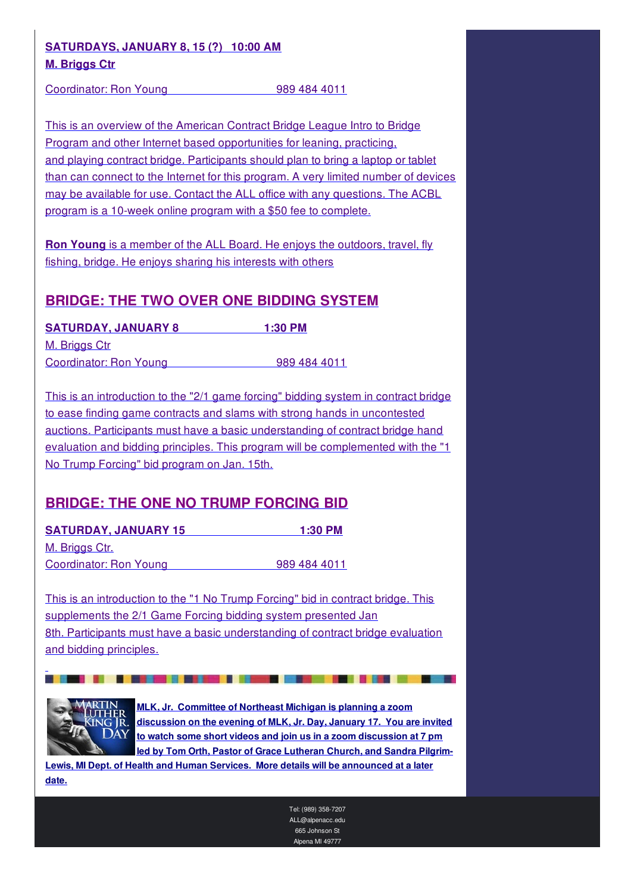#### **SATURDAYS, JANUARY 8, 15 (?) 10:00 AM M. Briggs Ctr**

Coordinator: Ron Young 989 484 4011

This is an overview of the American Contract Bridge League Intro to Bridge Program and other Internet based opportunities for leaning, practicing, and playing contract bridge. Participants should plan to bring a laptop or tablet than can connect to the Internet for this program. A very limited number of devices may be available for use. Contact the ALL office with any questions. The ACBL program is a 10-week online program with a \$50 fee to complete.

**Ron Young** is a member of the ALL Board. He enjoys the outdoors, travel, fly fishing, bridge. He enjoys sharing his interests with others

#### **BRIDGE: THE TWO OVER ONE BIDDING SYSTEM**

**SATURDAY, JANUARY 8 1:30 PM** M. Briggs Ctr Coordinator: Ron Young 1989 484 4011

This is an introduction to the "2/1 game forcing" bidding system in contract bridge to ease finding game contracts and slams with strong hands in uncontested auctions. Participants must have a basic understanding of contract bridge hand evaluation and bidding principles. This program will be complemented with the "1 No Trump Forcing" bid program on Jan. 15th.

## **BRIDGE: THE ONE NO TRUMP FORCING BID**

**SATURDAY, JANUARY 15 1:30 PM** M. Briggs Ctr. Coordinator: Ron Young 989 484 4011

This is an introduction to the "1 No Trump Forcing" bid in contract bridge. This supplements the 2/1 Game Forcing bidding system presented Jan 8th. Participants must have a basic understanding of contract bridge evaluation and bidding principles.



**MLK, Jr. Committee of Northeast Michigan is planning a zoom discussion on the evening of MLK, Jr. Day, January 17. You are invited to watch some short videos and join us in a zoom discussion at 7 pm led by Tom Orth, Pastor of Grace Lutheran Church, and Sandra Pilgrim-**

**Lewis, MI Dept. of Health and Human Services. More details will be announced at a later date.**

> Tel: (989) 358-7207 ALL@alpenacc.edu 665 Johnson St Alpena MI 49777